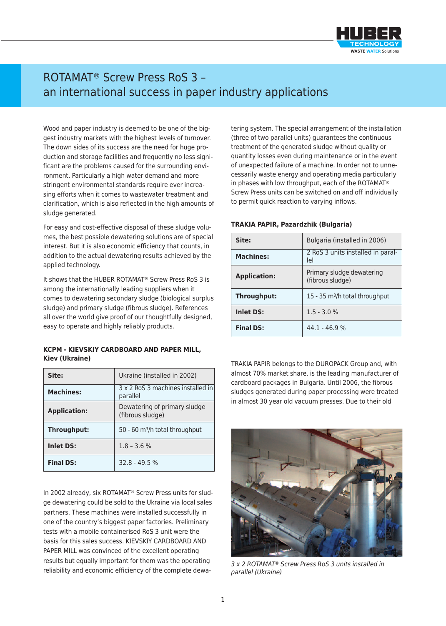

## ROTAMAT® Screw Press RoS 3 – an international success in paper industry applications

Wood and paper industry is deemed to be one of the biggest industry markets with the highest levels of turnover. The down sides of its success are the need for huge production and storage facilities and frequently no less significant are the problems caused for the surrounding environment. Particularly a high water demand and more stringent environmental standards require ever increasing efforts when it comes to wastewater treatment and clarification, which is also reflected in the high amounts of sludge generated.

For easy and cost-effective disposal of these sludge volumes, the best possible dewatering solutions are of special interest. But it is also economic efficiency that counts, in addition to the actual dewatering results achieved by the applied technology.

It shows that the HUBER ROTAMAT® Screw Press RoS 3 is among the internationally leading suppliers when it comes to dewatering secondary sludge (biological surplus sludge) and primary sludge (fibrous sludge). References all over the world give proof of our thoughtfully designed, easy to operate and highly reliably products.

## **KCPM - KIEVSKIY CARDBOARD AND PAPER MILL, Kiev (Ukraine)**

| Site:               | Ukraine (installed in 2002)                      |
|---------------------|--------------------------------------------------|
| <b>Machines:</b>    | 3 x 2 RoS 3 machines installed in<br>parallel    |
| <b>Application:</b> | Dewatering of primary sludge<br>(fibrous sludge) |
| Throughput:         | 50 - 60 m <sup>3</sup> /h total throughput       |
| <b>Inlet DS:</b>    | $1.8 - 3.6 %$                                    |
| <b>Final DS:</b>    | $32.8 - 49.5%$                                   |

In 2002 already, six ROTAMAT® Screw Press units for sludge dewatering could be sold to the Ukraine via local sales partners. These machines were installed successfully in one of the country's biggest paper factories. Preliminary tests with a mobile containerised RoS 3 unit were the basis for this sales success. KIEVSKIY CARDBOARD AND PAPER MILL was convinced of the excellent operating results but equally important for them was the operating reliability and economic efficiency of the complete dewa-

tering system. The special arrangement of the installation (three of two parallel units) guarantees the continuous treatment of the generated sludge without quality or quantity losses even during maintenance or in the event of unexpected failure of a machine. In order not to unnecessarily waste energy and operating media particularly in phases with low throughput, each of the ROTAMAT® Screw Press units can be switched on and off individually to permit quick reaction to varying inflows.

## **TRAKIA PAPIR, Pazardzhik (Bulgaria)**

| Site:               | Bulgaria (installed in 2006)                  |
|---------------------|-----------------------------------------------|
| <b>Machines:</b>    | 2 RoS 3 units installed in paral-<br>lel      |
| <b>Application:</b> | Primary sludge dewatering<br>(fibrous sludge) |
| Throughput:         | 15 - 35 $m^3/h$ total throughput              |
| <b>Inlet DS:</b>    | $1.5 - 3.0 %$                                 |
| <b>Final DS:</b>    | $44.1 - 46.9%$                                |

TRAKIA PAPIR belongs to the DUROPACK Group and, with almost 70% market share, is the leading manufacturer of cardboard packages in Bulgaria. Until 2006, the fibrous sludges generated during paper processing were treated in almost 30 year old vacuum presses. Due to their old



*3 x 2 ROTAMAT® Screw Press RoS 3 units installed in parallel (Ukraine)*